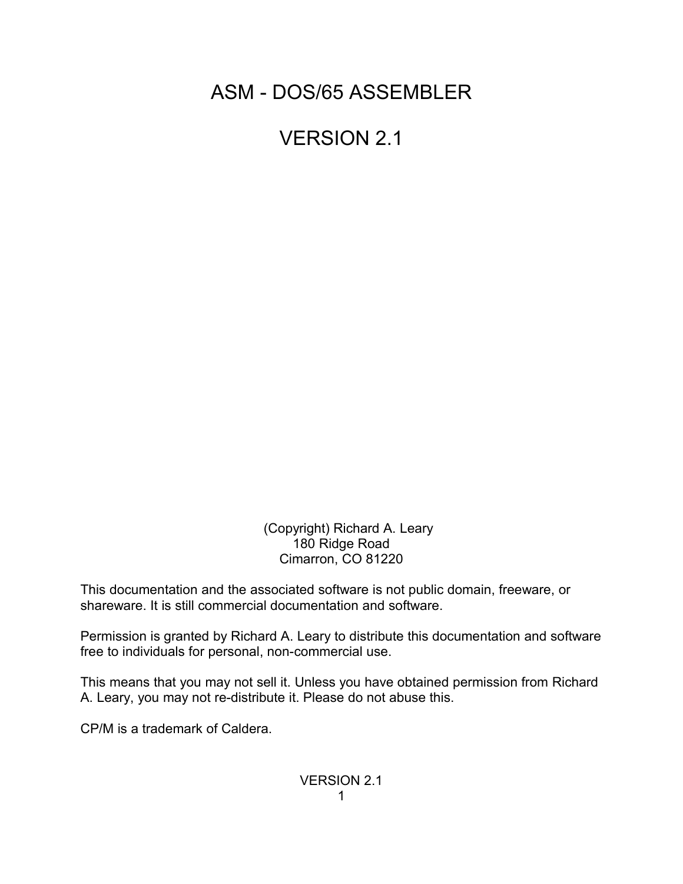ASM - DOS/65 ASSEMBLER

VERSION 2.1

 (Copyright) Richard A. Leary 180 Ridge Road Cimarron, CO 81220

This documentation and the associated software is not public domain, freeware, or shareware. It is still commercial documentation and software.

Permission is granted by Richard A. Leary to distribute this documentation and software free to individuals for personal, non-commercial use.

This means that you may not sell it. Unless you have obtained permission from Richard A. Leary, you may not re-distribute it. Please do not abuse this.

CP/M is a trademark of Caldera.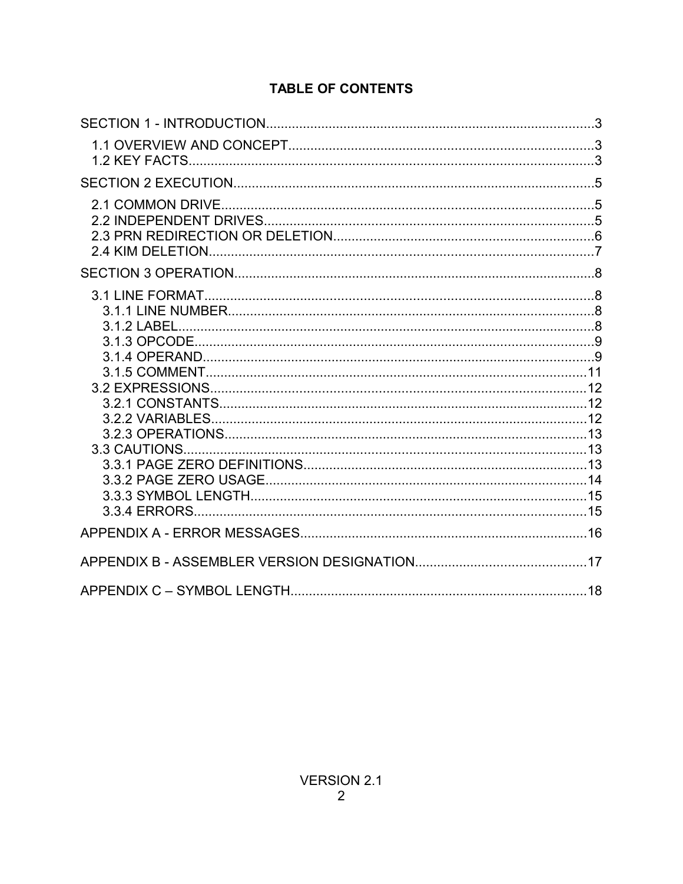# **TABLE OF CONTENTS**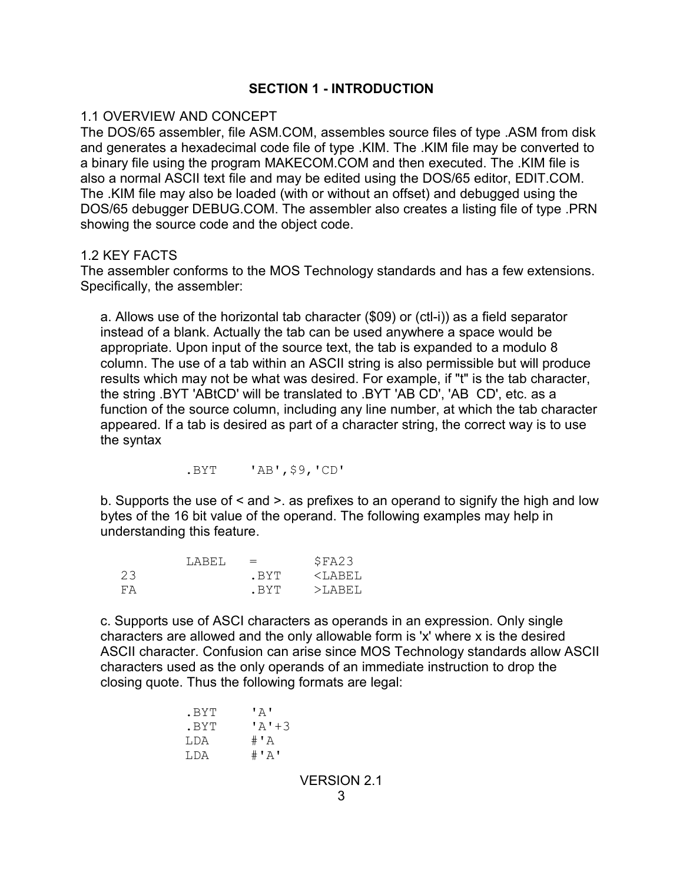## **SECTION 1 - INTRODUCTION**

#### 1.1 OVERVIEW AND CONCEPT

The DOS/65 assembler, file ASM.COM, assembles source files of type .ASM from disk and generates a hexadecimal code file of type .KIM. The .KIM file may be converted to a binary file using the program MAKECOM.COM and then executed. The .KIM file is also a normal ASCII text file and may be edited using the DOS/65 editor, EDIT.COM. The .KIM file may also be loaded (with or without an offset) and debugged using the DOS/65 debugger DEBUG.COM. The assembler also creates a listing file of type .PRN showing the source code and the object code.

#### 1.2 KEY FACTS

The assembler conforms to the MOS Technology standards and has a few extensions. Specifically, the assembler:

a. Allows use of the horizontal tab character (\$09) or (ctl-i)) as a field separator instead of a blank. Actually the tab can be used anywhere a space would be appropriate. Upon input of the source text, the tab is expanded to a modulo 8 column. The use of a tab within an ASCII string is also permissible but will produce results which may not be what was desired. For example, if "t" is the tab character, the string .BYT 'ABtCD' will be translated to .BYT 'AB CD', 'AB CD', etc. as a function of the source column, including any line number, at which the tab character appeared. If a tab is desired as part of a character string, the correct way is to use the syntax

.BYT 'AB',\$9,'CD'

b. Supports the use of < and >. as prefixes to an operand to signify the high and low bytes of the 16 bit value of the operand. The following examples may help in understanding this feature.

|    | T.ARET. | $=$   | \$FA23      |
|----|---------|-------|-------------|
| 23 |         | . BYT | $<$ T.ARET. |
| FА |         | . RYT | $>$ T.ARET. |

c. Supports use of ASCI characters as operands in an expression. Only single characters are allowed and the only allowable form is 'x' where x is the desired ASCII character. Confusion can arise since MOS Technology standards allow ASCII characters used as the only operands of an immediate instruction to drop the closing quote. Thus the following formats are legal:

```
.BYT 'A'
.BYT 'A'+3
LDA #'A
LDA \#'A'
            VERSION 2.1
```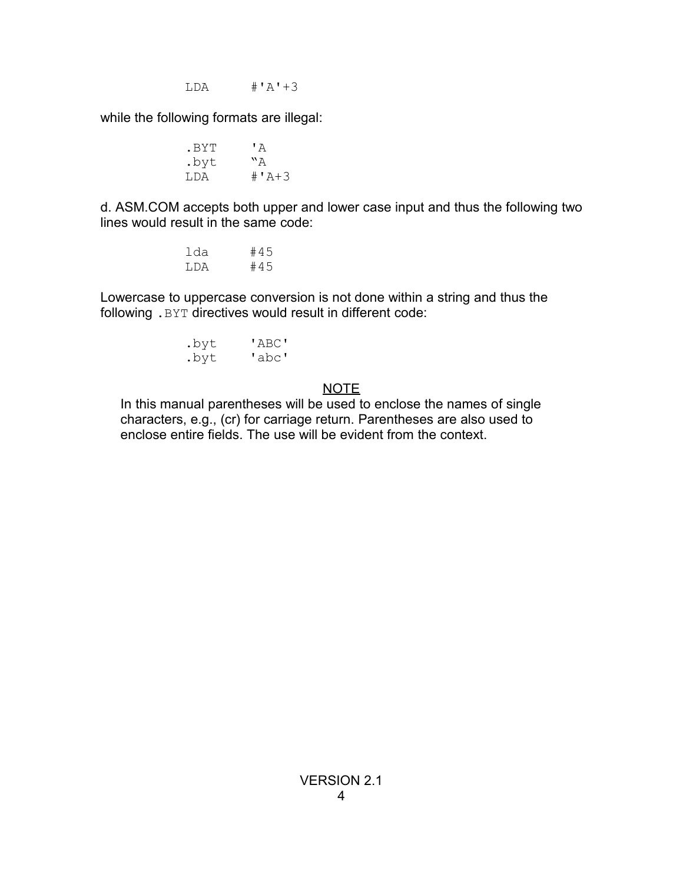$LDA$   $\#'A'+3$ 

while the following formats are illegal:

BYT 'A.<br>byt "A. .byt<br>LDA  $+ 4 + 3$ 

d. ASM.COM accepts both upper and lower case input and thus the following two lines would result in the same code:

> lda #45 LDA #45

Lowercase to uppercase conversion is not done within a string and thus the following .BYT directives would result in different code:

| .byt | 'ABC' |
|------|-------|
| .byt | 'abc' |

# NOTE

In this manual parentheses will be used to enclose the names of single characters, e.g., (cr) for carriage return. Parentheses are also used to enclose entire fields. The use will be evident from the context.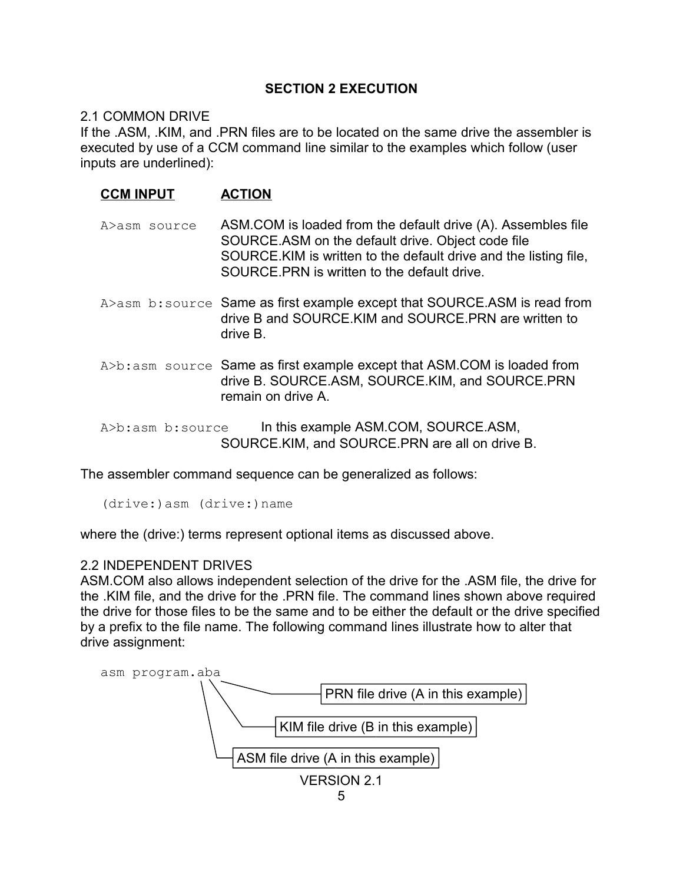# **SECTION 2 EXECUTION**

## 2.1 COMMON DRIVE

If the .ASM, .KIM, and .PRN files are to be located on the same drive the assembler is executed by use of a CCM command line similar to the examples which follow (user inputs are underlined):

| <b>CCM INPUT</b> | <b>ACTION</b>                                                                                                                                                                                                                         |
|------------------|---------------------------------------------------------------------------------------------------------------------------------------------------------------------------------------------------------------------------------------|
| A>asm source     | ASM.COM is loaded from the default drive (A). Assembles file<br>SOURCE.ASM on the default drive. Object code file<br>SOURCE. KIM is written to the default drive and the listing file,<br>SOURCE PRN is written to the default drive. |
|                  | A>asm b: source Same as first example except that SOURCE.ASM is read from<br>drive B and SOURCE. KIM and SOURCE. PRN are written to<br>drive B.                                                                                       |
|                  | A>b: asm source Same as first example except that ASM.COM is loaded from<br>drive B. SOURCE.ASM, SOURCE.KIM, and SOURCE.PRN<br>remain on drive A.                                                                                     |
| A>b:asm b:source | In this example ASM.COM, SOURCE.ASM,<br>SOURCE.KIM, and SOURCE.PRN are all on drive B.                                                                                                                                                |

The assembler command sequence can be generalized as follows:

(drive:)asm (drive:)name

where the (drive:) terms represent optional items as discussed above.

## 2.2 INDEPENDENT DRIVES

ASM.COM also allows independent selection of the drive for the .ASM file, the drive for the .KIM file, and the drive for the .PRN file. The command lines shown above required the drive for those files to be the same and to be either the default or the drive specified by a prefix to the file name. The following command lines illustrate how to alter that drive assignment:

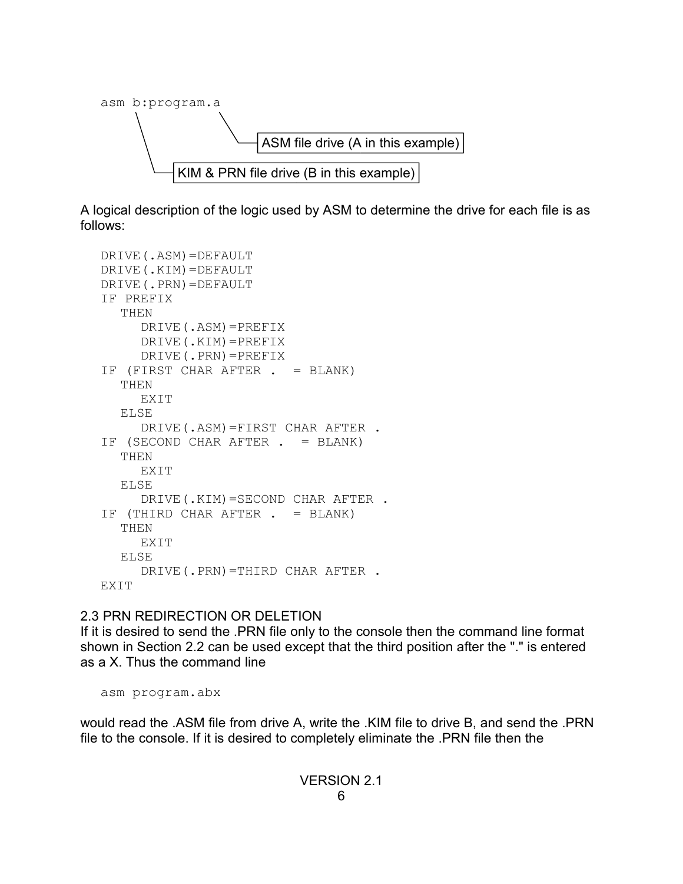

A logical description of the logic used by ASM to determine the drive for each file is as follows:

```
DRIVE(.ASM)=DEFAULT
DRIVE(.KIM)=DEFAULT
DRIVE(.PRN)=DEFAULT
IF PREFIX
  THEN
     DRIVE(.ASM)=PREFIX
     DRIVE(.KIM)=PREFIX
     DRIVE(.PRN)=PREFIX
IF (FIRST CHAR AFTER . = BLANK)
  THEN
     EXIT
  ELSE
     DRIVE(.ASM)=FIRST CHAR AFTER .
IF (SECOND CHAR AFTER . = BLANK)
  THEN
     EXIT
  ELSE
     DRIVE(.KIM)=SECOND CHAR AFTER .
IF (THIRD CHAR AFTER . = BLANK)
  THEN
     EXIT
  ELSE
     DRIVE(.PRN)=THIRD CHAR AFTER .
EXIT
```
# 2.3 PRN REDIRECTION OR DELETION

If it is desired to send the .PRN file only to the console then the command line format shown in Section 2.2 can be used except that the third position after the "." is entered as a X. Thus the command line

asm program.abx

would read the .ASM file from drive A, write the .KIM file to drive B, and send the .PRN file to the console. If it is desired to completely eliminate the .PRN file then the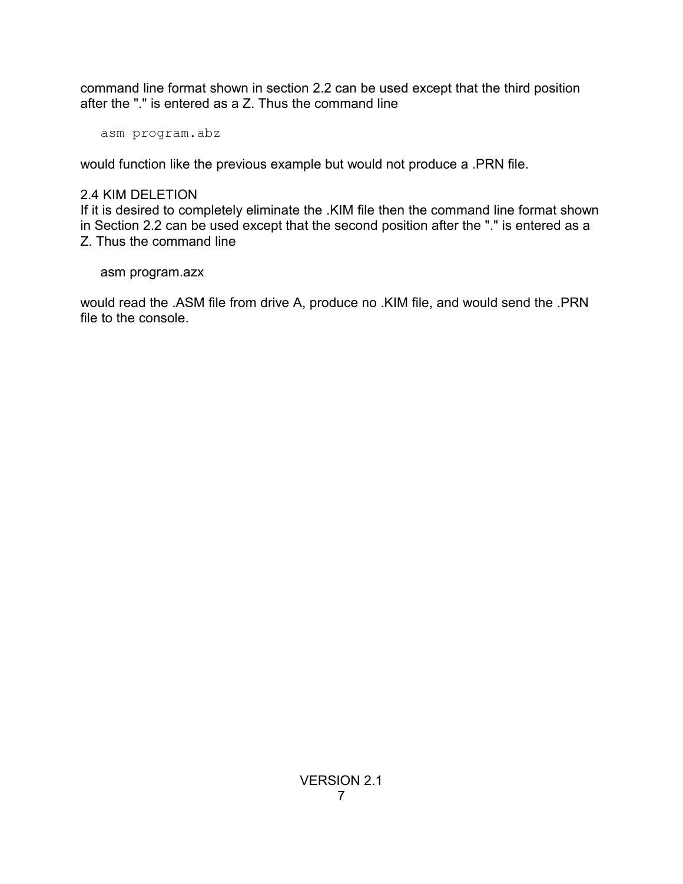command line format shown in section 2.2 can be used except that the third position after the "." is entered as a Z. Thus the command line

asm program.abz

would function like the previous example but would not produce a .PRN file.

# 2.4 KIM DELETION

If it is desired to completely eliminate the .KIM file then the command line format shown in Section 2.2 can be used except that the second position after the "." is entered as a Z. Thus the command line

asm program.azx

would read the .ASM file from drive A, produce no .KIM file, and would send the .PRN file to the console.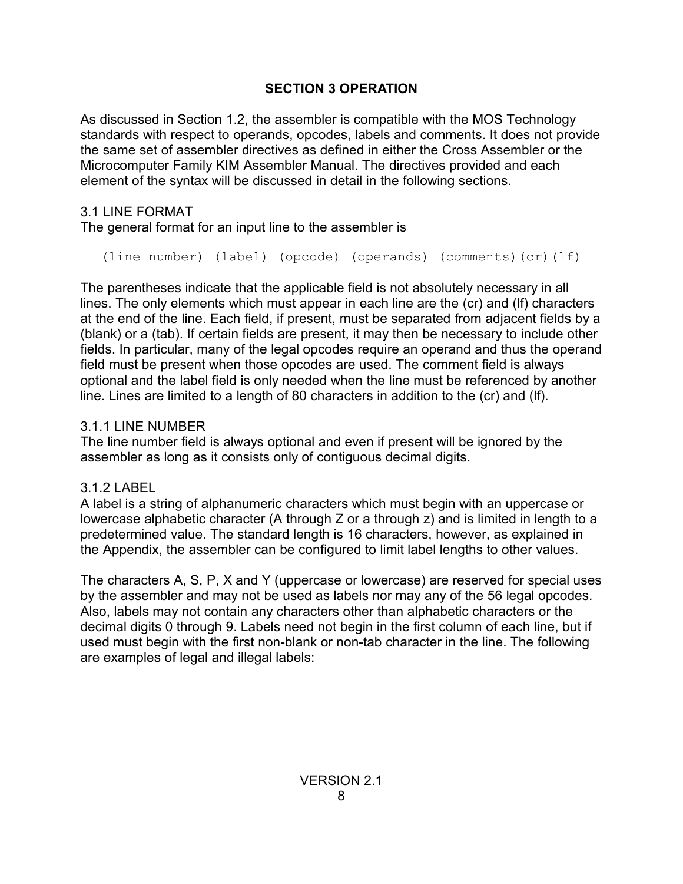# **SECTION 3 OPERATION**

As discussed in Section 1.2, the assembler is compatible with the MOS Technology standards with respect to operands, opcodes, labels and comments. It does not provide the same set of assembler directives as defined in either the Cross Assembler or the Microcomputer Family KIM Assembler Manual. The directives provided and each element of the syntax will be discussed in detail in the following sections.

# 3.1 LINE FORMAT

The general format for an input line to the assembler is

(line number) (label) (opcode) (operands) (comments)(cr)(lf)

The parentheses indicate that the applicable field is not absolutely necessary in all lines. The only elements which must appear in each line are the (cr) and (lf) characters at the end of the line. Each field, if present, must be separated from adjacent fields by a (blank) or a (tab). If certain fields are present, it may then be necessary to include other fields. In particular, many of the legal opcodes require an operand and thus the operand field must be present when those opcodes are used. The comment field is always optional and the label field is only needed when the line must be referenced by another line. Lines are limited to a length of 80 characters in addition to the (cr) and (lf).

# 3.1.1 LINE NUMBER

The line number field is always optional and even if present will be ignored by the assembler as long as it consists only of contiguous decimal digits.

# 3.1.2 LABEL

A label is a string of alphanumeric characters which must begin with an uppercase or lowercase alphabetic character (A through Z or a through z) and is limited in length to a predetermined value. The standard length is 16 characters, however, as explained in the Appendix, the assembler can be configured to limit label lengths to other values.

The characters A, S, P, X and Y (uppercase or lowercase) are reserved for special uses by the assembler and may not be used as labels nor may any of the 56 legal opcodes. Also, labels may not contain any characters other than alphabetic characters or the decimal digits 0 through 9. Labels need not begin in the first column of each line, but if used must begin with the first non-blank or non-tab character in the line. The following are examples of legal and illegal labels: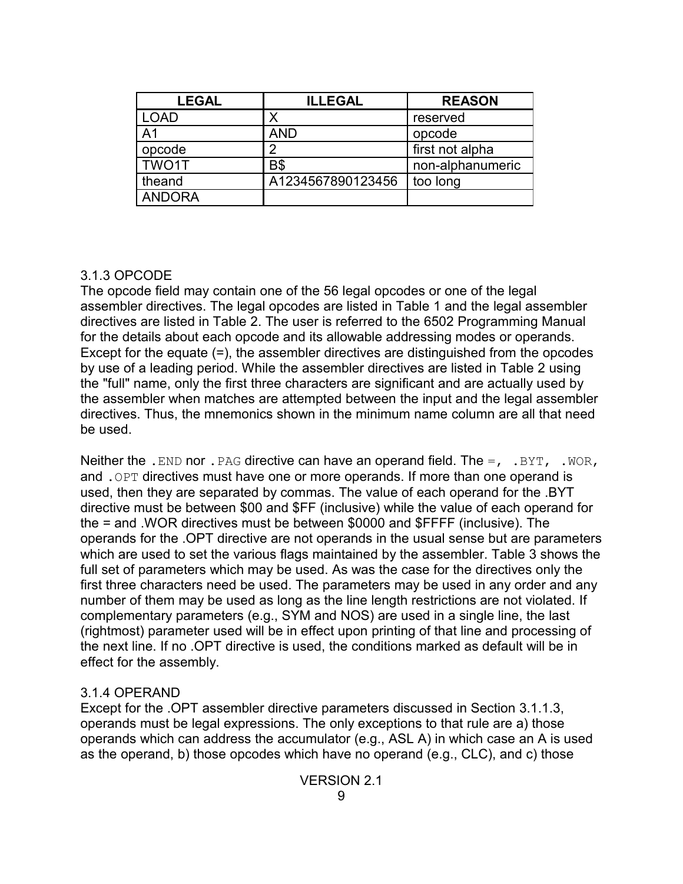| <b>LEGAL</b>   | <b>ILLEGAL</b>    | <b>REASON</b>    |
|----------------|-------------------|------------------|
| LOAD           |                   | reserved         |
| A <sub>1</sub> | <b>AND</b>        | opcode           |
| opcode         | າ                 | first not alpha  |
| TWO1T          | <b>B</b> \$       | non-alphanumeric |
| theand         | A1234567890123456 | too long         |
| <b>ANDORA</b>  |                   |                  |

### 3.1.3 OPCODE

The opcode field may contain one of the 56 legal opcodes or one of the legal assembler directives. The legal opcodes are listed in Table 1 and the legal assembler directives are listed in Table 2. The user is referred to the 6502 Programming Manual for the details about each opcode and its allowable addressing modes or operands. Except for the equate (=), the assembler directives are distinguished from the opcodes by use of a leading period. While the assembler directives are listed in Table 2 using the "full" name, only the first three characters are significant and are actually used by the assembler when matches are attempted between the input and the legal assembler directives. Thus, the mnemonics shown in the minimum name column are all that need be used.

Neither the .END nor . PAG directive can have an operand field. The  $=$ , .BYT, .WOR, and .OPT directives must have one or more operands. If more than one operand is used, then they are separated by commas. The value of each operand for the .BYT directive must be between \$00 and \$FF (inclusive) while the value of each operand for the = and .WOR directives must be between \$0000 and \$FFFF (inclusive). The operands for the .OPT directive are not operands in the usual sense but are parameters which are used to set the various flags maintained by the assembler. Table 3 shows the full set of parameters which may be used. As was the case for the directives only the first three characters need be used. The parameters may be used in any order and any number of them may be used as long as the line length restrictions are not violated. If complementary parameters (e.g., SYM and NOS) are used in a single line, the last (rightmost) parameter used will be in effect upon printing of that line and processing of the next line. If no .OPT directive is used, the conditions marked as default will be in effect for the assembly.

## 3.1.4 OPERAND

Except for the .OPT assembler directive parameters discussed in Section 3.1.1.3, operands must be legal expressions. The only exceptions to that rule are a) those operands which can address the accumulator (e.g., ASL A) in which case an A is used as the operand, b) those opcodes which have no operand (e.g., CLC), and c) those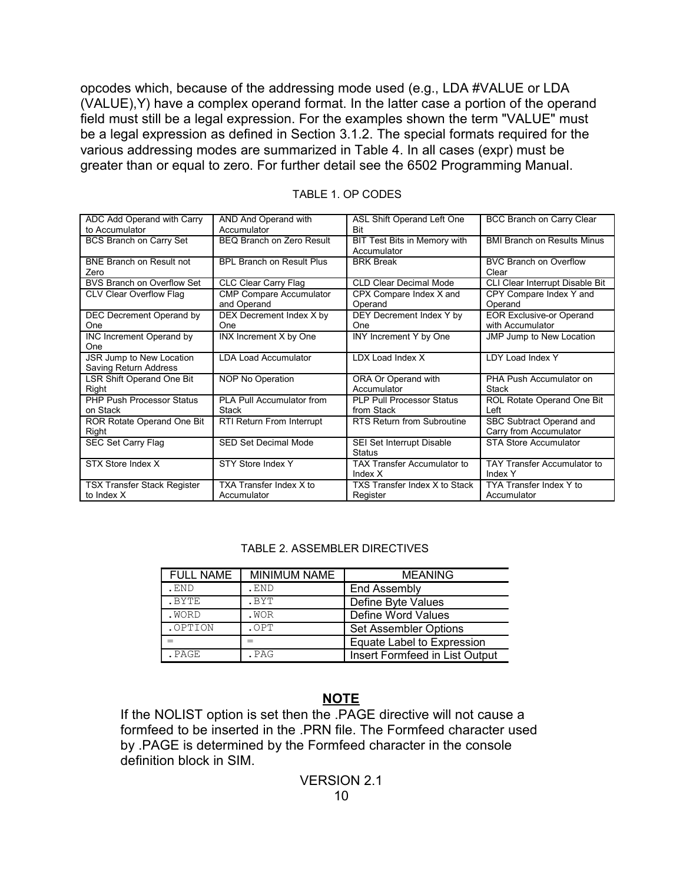opcodes which, because of the addressing mode used (e.g., LDA #VALUE or LDA (VALUE),Y) have a complex operand format. In the latter case a portion of the operand field must still be a legal expression. For the examples shown the term "VALUE" must be a legal expression as defined in Section 3.1.2. The special formats required for the various addressing modes are summarized in Table 4. In all cases (expr) must be greater than or equal to zero. For further detail see the 6502 Programming Manual.

| ADC Add Operand with Carry         | AND And Operand with                     | ASL Shift Operand Left One                 | BCC Branch on Carry Clear          |
|------------------------------------|------------------------------------------|--------------------------------------------|------------------------------------|
| to Accumulator                     | Accumulator<br>BEQ Branch on Zero Result | <b>Bit</b><br>BIT Test Bits in Memory with | <b>BMI Branch on Results Minus</b> |
| BCS Branch on Carry Set            |                                          | Accumulator                                |                                    |
| <b>BNE Branch on Result not</b>    | <b>BPL Branch on Result Plus</b>         | <b>BRK Break</b>                           | <b>BVC Branch on Overflow</b>      |
| Zero                               |                                          |                                            | Clear                              |
| BVS Branch on Overflow Set         | CLC Clear Carry Flag                     | <b>CLD Clear Decimal Mode</b>              | CLI Clear Interrupt Disable Bit    |
| CLV Clear Overflow Flag            | <b>CMP Compare Accumulator</b>           | CPX Compare Index X and                    | CPY Compare Index Y and            |
|                                    | and Operand                              | Operand                                    | Operand                            |
| DEC Decrement Operand by           | DEX Decrement Index X by                 | DEY Decrement Index Y by                   | <b>EOR Exclusive-or Operand</b>    |
| One                                | One                                      | One                                        | with Accumulator                   |
| INC Increment Operand by           | INX Increment X by One                   | INY Increment Y by One                     | <b>JMP Jump to New Location</b>    |
| One                                |                                          |                                            |                                    |
| JSR Jump to New Location           | <b>LDA Load Accumulator</b>              | LDX Load Index X                           | LDY Load Index Y                   |
| Saving Return Address              |                                          |                                            |                                    |
| LSR Shift Operand One Bit          | NOP No Operation                         | ORA Or Operand with                        | PHA Push Accumulator on            |
| Right                              |                                          | Accumulator                                | Stack                              |
| <b>PHP Push Processor Status</b>   | PLA Pull Accumulator from                | <b>PLP Pull Processor Status</b>           | ROL Rotate Operand One Bit         |
| on Stack                           | <b>Stack</b>                             | from Stack                                 | Left                               |
| ROR Rotate Operand One Bit         | RTI Return From Interrupt                | RTS Return from Subroutine                 | SBC Subtract Operand and           |
| Right                              |                                          |                                            | Carry from Accumulator             |
| SEC Set Carry Flag                 | SED Set Decimal Mode                     | SEI Set Interrupt Disable                  | <b>STA Store Accumulator</b>       |
|                                    |                                          | <b>Status</b>                              |                                    |
| STX Store Index X                  | STY Store Index Y                        | <b>TAX Transfer Accumulator to</b>         | TAY Transfer Accumulator to        |
|                                    |                                          | Index $X$                                  | Index Y                            |
| <b>TSX Transfer Stack Register</b> | TXA Transfer Index X to                  | TXS Transfer Index X to Stack              | TYA Transfer Index Y to            |
| to Index X                         | Accumulator                              | Register                                   | Accumulator                        |

#### TABLE 1. OP CODES

#### TABLE 2. ASSEMBLER DIRECTIVES

| <b>FULL NAME</b> | <b>MINIMUM NAME</b> | <b>MEANING</b>                 |
|------------------|---------------------|--------------------------------|
| .END             | . END               | End Assembly                   |
| .BYTE            | .BYT                | Define Byte Values             |
| .WORD            | .WOR                | Define Word Values             |
| .OPTION          | .OPT                | <b>Set Assembler Options</b>   |
|                  |                     | Equate Label to Expression     |
| . PAGE           | .PAG                | Insert Formfeed in List Output |

#### **NOTE**

If the NOLIST option is set then the .PAGE directive will not cause a formfeed to be inserted in the .PRN file. The Formfeed character used by .PAGE is determined by the Formfeed character in the console definition block in SIM.

#### VERSION 2.1 10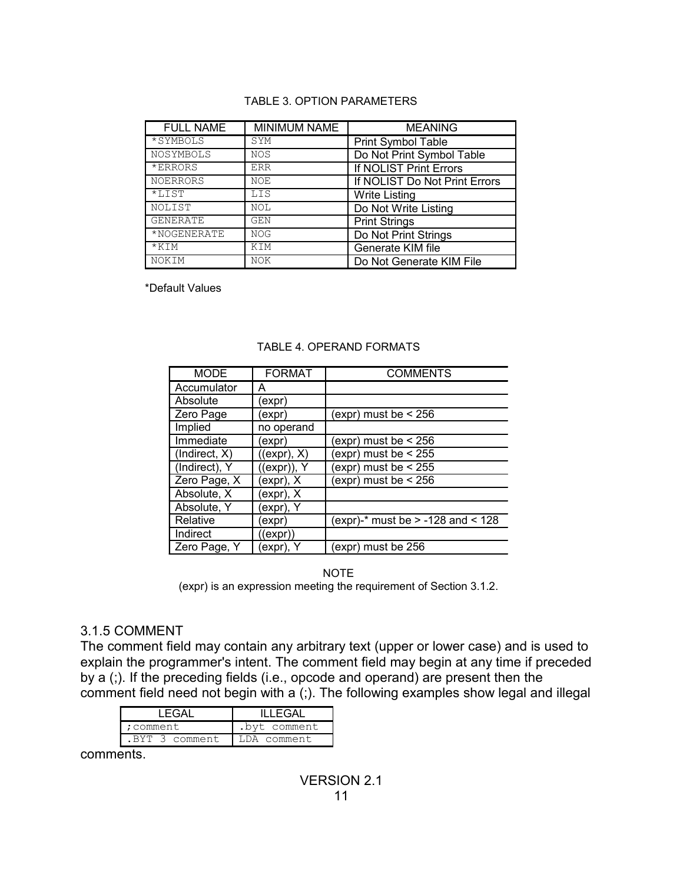#### TABLE 3. OPTION PARAMETERS

| <b>FULL NAME</b> | <b>MINIMUM NAME</b> | <b>MEANING</b>                |
|------------------|---------------------|-------------------------------|
| *SYMBOLS         | SYM                 | <b>Print Symbol Table</b>     |
| NOSYMBOLS        | <b>NOS</b>          | Do Not Print Symbol Table     |
| *ERRORS          | ERR                 | If NOLIST Print Errors        |
| <b>NOERRORS</b>  | NOE                 | If NOLIST Do Not Print Errors |
| $*LIST$          | LIS                 | <b>Write Listing</b>          |
| NOLIST           | <b>NOL</b>          | Do Not Write Listing          |
| <b>GENERATE</b>  | GEN                 | <b>Print Strings</b>          |
| *NOGENERATE      | <b>NOG</b>          | Do Not Print Strings          |
| $*$ KIM          | KIM                 | Generate KIM file             |
| NOKIM            | NOK                 | Do Not Generate KIM File      |

\*Default Values

| <b>MODE</b>   | <b>FORMAT</b> | <b>COMMENTS</b>                       |
|---------------|---------------|---------------------------------------|
| Accumulator   | Α             |                                       |
| Absolute      | (expr         |                                       |
| Zero Page     | (expr)        | (expr) must be $<$ 256                |
| Implied       | no operand    |                                       |
| Immediate     | (expr         | (expr) must be $<$ 256                |
| (Indirect, X) | ((expr), X)   | (expr) must be $<$ 255                |
| (Indirect), Y | ((expr)), Y   | $\exp$ ) must be < 255                |
| Zero Page, X  | (expr), X     | (expr) must be $<$ 256                |
| Absolute, X   | expr), X      |                                       |
| Absolute, Y   | expr), Y      |                                       |
| Relative      | (expr         | (expr)-* must be $> -128$ and $< 128$ |
| Indirect      | ((expr))      |                                       |
| Zero Page, Y  | expr), Y      | expr) must be 256                     |

#### TABLE 4. OPERAND FORMATS

NOTE (expr) is an expression meeting the requirement of Section 3.1.2.

## 3.1.5 COMMENT

The comment field may contain any arbitrary text (upper or lower case) and is used to explain the programmer's intent. The comment field may begin at any time if preceded by a (;). If the preceding fields (i.e., opcode and operand) are present then the comment field need not begin with a (;). The following examples show legal and illegal

| I FGAI        | II I FGAI    |
|---------------|--------------|
| :comment      | .byt comment |
| BYT 3 comment | A comment    |
|               |              |

comments.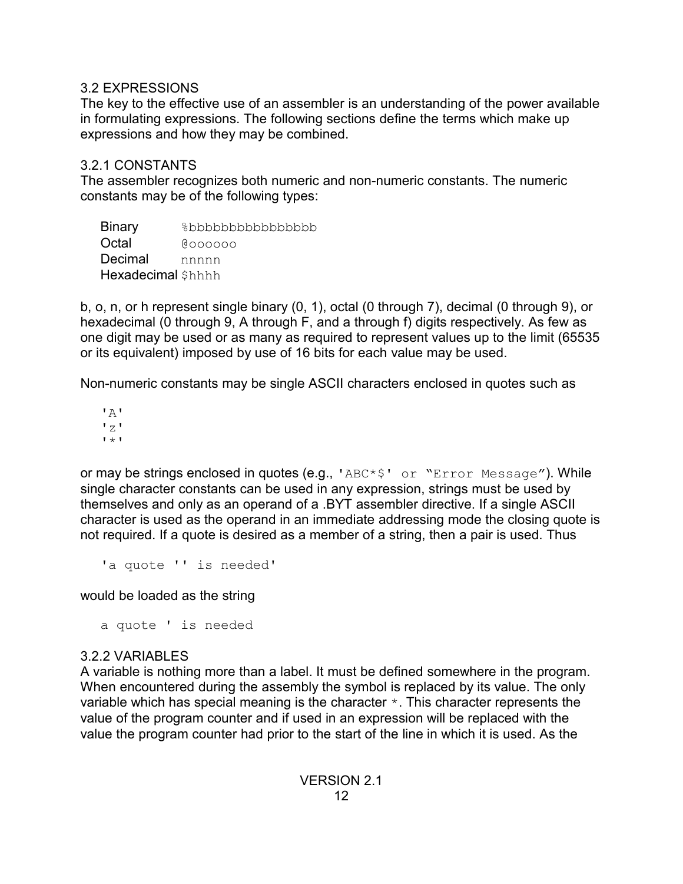# 3.2 EXPRESSIONS

The key to the effective use of an assembler is an understanding of the power available in formulating expressions. The following sections define the terms which make up expressions and how they may be combined.

# 3.2.1 CONSTANTS

The assembler recognizes both numeric and non-numeric constants. The numeric constants may be of the following types:

| <b>Binary</b>     | %bbbbbbbbbbbbbbb |
|-------------------|------------------|
| Octal             | <b>COOOOO</b>    |
| Decimal           | nnnnn            |
| Hexadecimal Shhhh |                  |

b, o, n, or h represent single binary (0, 1), octal (0 through 7), decimal (0 through 9), or hexadecimal (0 through 9, A through F, and a through f) digits respectively. As few as one digit may be used or as many as required to represent values up to the limit (65535 or its equivalent) imposed by use of 16 bits for each value may be used.

Non-numeric constants may be single ASCII characters enclosed in quotes such as

 $'$  A $'$  $'z'$  $'$  \*  $'$ 

or may be strings enclosed in quotes (e.g., 'ABC\*\$' or "Error Message"). While single character constants can be used in any expression, strings must be used by themselves and only as an operand of a .BYT assembler directive. If a single ASCII character is used as the operand in an immediate addressing mode the closing quote is not required. If a quote is desired as a member of a string, then a pair is used. Thus

'a quote '' is needed'

would be loaded as the string

a quote ' is needed

# 3.2.2 VARIABLES

A variable is nothing more than a label. It must be defined somewhere in the program. When encountered during the assembly the symbol is replaced by its value. The only variable which has special meaning is the character \*. This character represents the value of the program counter and if used in an expression will be replaced with the value the program counter had prior to the start of the line in which it is used. As the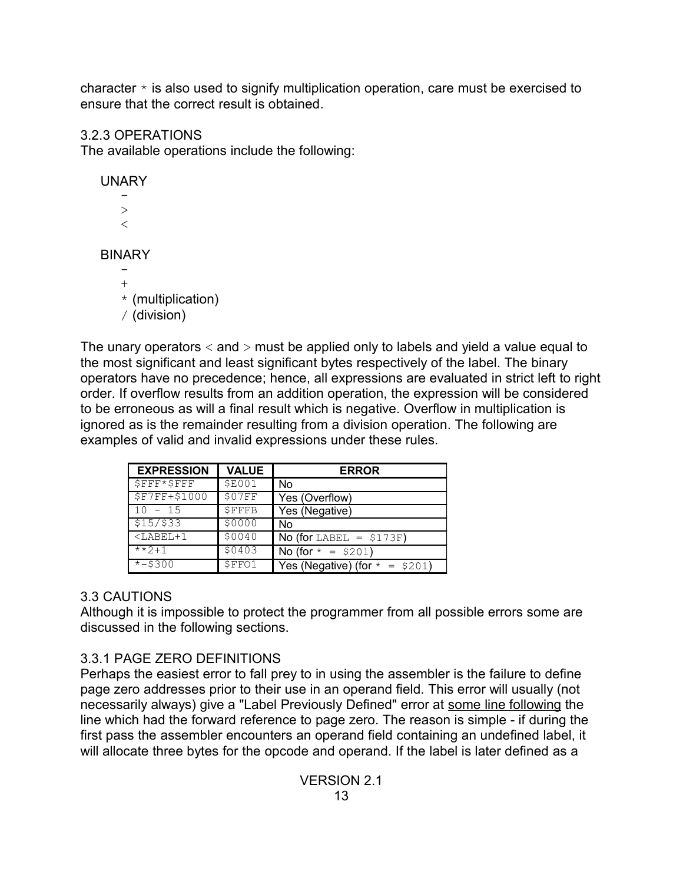character  $*$  is also used to signify multiplication operation, care must be exercised to ensure that the correct result is obtained.

# 3.2.3 OPERATIONS

The available operations include the following:

# UNARY -  $>$  $\lt$ BINARY - +  $*$  (multiplication)

/ (division)

The unary operators  $\langle$  and  $\rangle$  must be applied only to labels and yield a value equal to the most significant and least significant bytes respectively of the label. The binary operators have no precedence; hence, all expressions are evaluated in strict left to right order. If overflow results from an addition operation, the expression will be considered to be erroneous as will a final result which is negative. Overflow in multiplication is ignored as is the remainder resulting from a division operation. The following are examples of valid and invalid expressions under these rules.

| <b>EXPRESSION</b>      | <b>VALUE</b>  | <b>ERROR</b>                     |
|------------------------|---------------|----------------------------------|
| $$FFF*SFFF$            | <b>\$E001</b> | No                               |
| <b>\$F7FF+\$1000</b>   | \$07FF        | Yes (Overflow)                   |
| $10 - 15$              | <b>\$FFFB</b> | Yes (Negative)                   |
| \$15/\$33              | \$0000        | No                               |
| $<$ LABEL+1            | \$0040        | No (for LABEL = $$173F$ )        |
| $***7+1$               | \$0403        | No (for $* = $201$ )             |
| $\overline{x}$ - \$300 | \$FFO1        | Yes (Negative) (for $* = $201$ ) |

# 3.3 CAUTIONS

Although it is impossible to protect the programmer from all possible errors some are discussed in the following sections.

# 3.3.1 PAGE ZERO DEFINITIONS

Perhaps the easiest error to fall prey to in using the assembler is the failure to define page zero addresses prior to their use in an operand field. This error will usually (not necessarily always) give a "Label Previously Defined" error at some line following the line which had the forward reference to page zero. The reason is simple - if during the first pass the assembler encounters an operand field containing an undefined label, it will allocate three bytes for the opcode and operand. If the label is later defined as a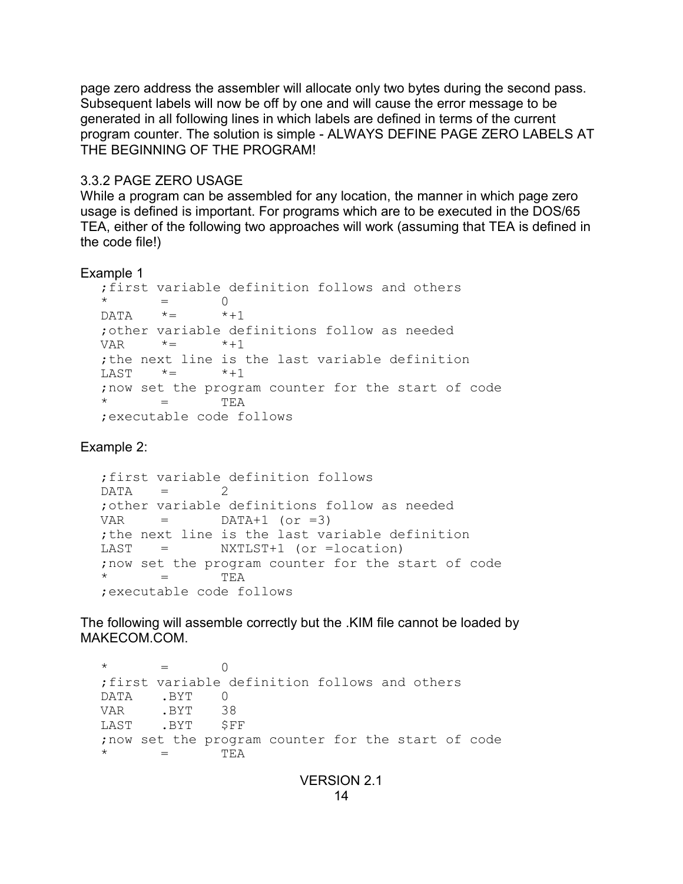page zero address the assembler will allocate only two bytes during the second pass. Subsequent labels will now be off by one and will cause the error message to be generated in all following lines in which labels are defined in terms of the current program counter. The solution is simple - ALWAYS DEFINE PAGE ZERO LABELS AT THE BEGINNING OF THE PROGRAM!

# 3.3.2 PAGE ZERO USAGE

While a program can be assembled for any location, the manner in which page zero usage is defined is important. For programs which are to be executed in the DOS/65 TEA, either of the following two approaches will work (assuming that TEA is defined in the code file!)

## Example 1

```
;first variable definition follows and others
        = 0
\mathsf{D} \mathsf{A} \mathsf{T} \mathsf{A} \qquad \star = \qquad \star + 1;other variable definitions follow as needed
VAR \star = \star +1;the next line is the last variable definition
LAST * = * + 1;now set the program counter for the start of code
  = TEA
;executable code follows
```
Example 2:

```
;first variable definition follows
DATA = 2;other variable definitions follow as needed
VAR = \text{DATA} + 1 \text{ (or } = 3);the next line is the last variable definition
LAST = NXTLST+1 (or =location)
;now set the program counter for the start of code
\star = TEA
;executable code follows
```
The following will assemble correctly but the .KIM file cannot be loaded by MAKECOM.COM.

```
\star = 0
;first variable definition follows and others
DATA .BYT 0
VAR .BYT 38
LAST .BYT $FF
;now set the program counter for the start of code
     = TEA
```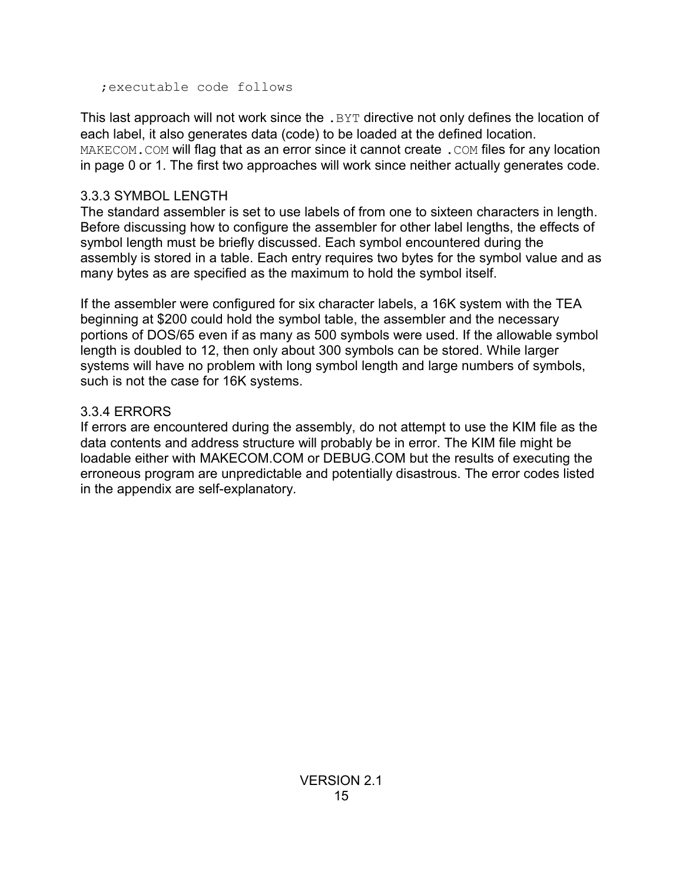;executable code follows

This last approach will not work since the . BYT directive not only defines the location of each label, it also generates data (code) to be loaded at the defined location. MAKECOM. COM will flag that as an error since it cannot create . COM files for any location in page 0 or 1. The first two approaches will work since neither actually generates code.

# 3.3.3 SYMBOL LENGTH

The standard assembler is set to use labels of from one to sixteen characters in length. Before discussing how to configure the assembler for other label lengths, the effects of symbol length must be briefly discussed. Each symbol encountered during the assembly is stored in a table. Each entry requires two bytes for the symbol value and as many bytes as are specified as the maximum to hold the symbol itself.

If the assembler were configured for six character labels, a 16K system with the TEA beginning at \$200 could hold the symbol table, the assembler and the necessary portions of DOS/65 even if as many as 500 symbols were used. If the allowable symbol length is doubled to 12, then only about 300 symbols can be stored. While larger systems will have no problem with long symbol length and large numbers of symbols, such is not the case for 16K systems.

# 3.3.4 ERRORS

If errors are encountered during the assembly, do not attempt to use the KIM file as the data contents and address structure will probably be in error. The KIM file might be loadable either with MAKECOM.COM or DEBUG.COM but the results of executing the erroneous program are unpredictable and potentially disastrous. The error codes listed in the appendix are self-explanatory.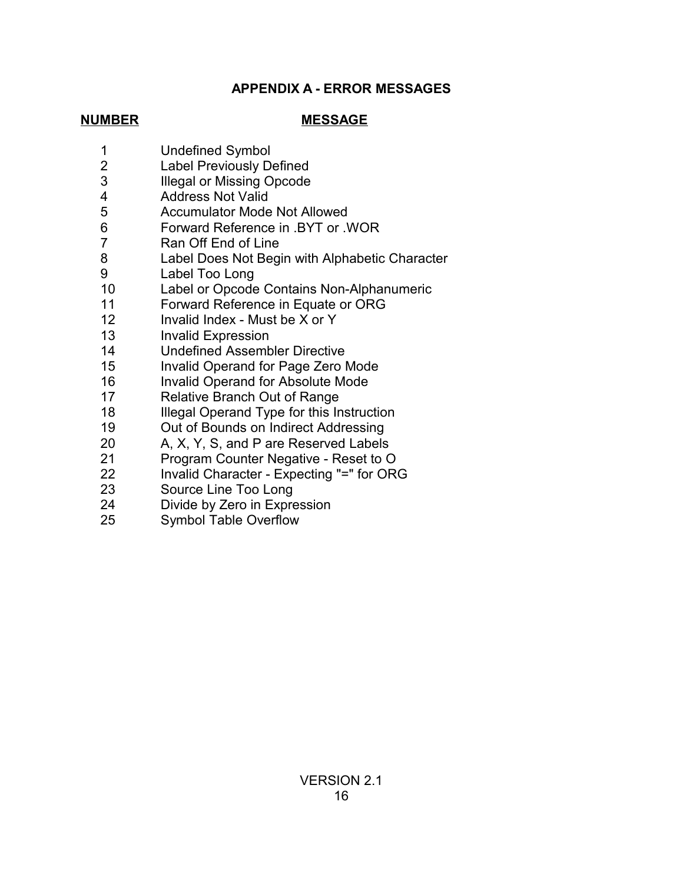# **APPENDIX A - ERROR MESSAGES**

# **NUMBER MESSAGE**

- Undefined Symbol
- Label Previously Defined
- Illegal or Missing Opcode
- Address Not Valid
- Accumulator Mode Not Allowed
- Forward Reference in .BYT or .WOR
- Ran Off End of Line
- Label Does Not Begin with Alphabetic Character
- Label Too Long
- Label or Opcode Contains Non-Alphanumeric
- Forward Reference in Equate or ORG
- Invalid Index Must be X or Y
- Invalid Expression
- Undefined Assembler Directive
- Invalid Operand for Page Zero Mode
- Invalid Operand for Absolute Mode
- Relative Branch Out of Range
- Illegal Operand Type for this Instruction
- Out of Bounds on Indirect Addressing
- A, X, Y, S, and P are Reserved Labels
- Program Counter Negative Reset to O
- Invalid Character Expecting "=" for ORG
- Source Line Too Long
- Divide by Zero in Expression
- Symbol Table Overflow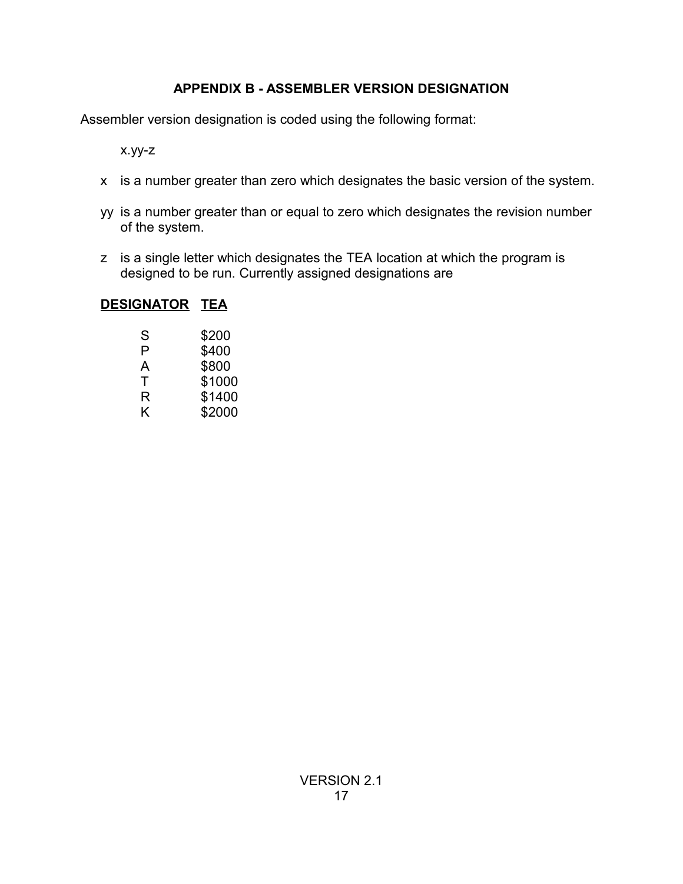# **APPENDIX B - ASSEMBLER VERSION DESIGNATION**

Assembler version designation is coded using the following format:

x.yy-z

- x is a number greater than zero which designates the basic version of the system.
- yy is a number greater than or equal to zero which designates the revision number of the system.
- z is a single letter which designates the TEA location at which the program is designed to be run. Currently assigned designations are

# **DESIGNATOR TEA**

| S | \$200  |
|---|--------|
| P | \$400  |
| A | \$800  |
| т | \$1000 |
| R | \$1400 |
| K | \$2000 |